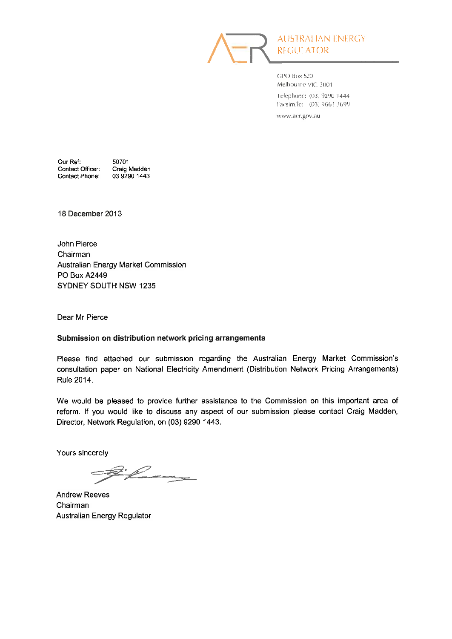

**AUSTRAHAN ENERGY** REGULATOR

GPO Box 520 Melbourne VIC 3001 Telephone: (03) 9290 1444 Facsimile: (03) 9663 3699 www.aer.gov.au

Our Ref: 50701 Contact Officer: Contact Phone:

Craig Madden 03 9290 1443

18 December 2013

John Pierce Chairman Australian Energy Market Commission **PO Box A2449** SYDNEY SOUTH NSW 1235

Dear Mr Pierce

#### Submission on distribution network pricing arrangements

Please find attached our submission regarding the Australian Energy Market Commission's consultation paper on National Electricity Amendment (Distribution Network Pricing Arrangements) Rule 2014.

We would be pleased to provide further assistance to the Commission on this important area of reform. If you would like to discuss any aspect of our submission please contact Craig Madden, Director, Network Regulation, on (03) 9290 1443.

Yours sincerely

 $\ell$ 

**Andrew Reeves** Chairman Australian Energy Regulator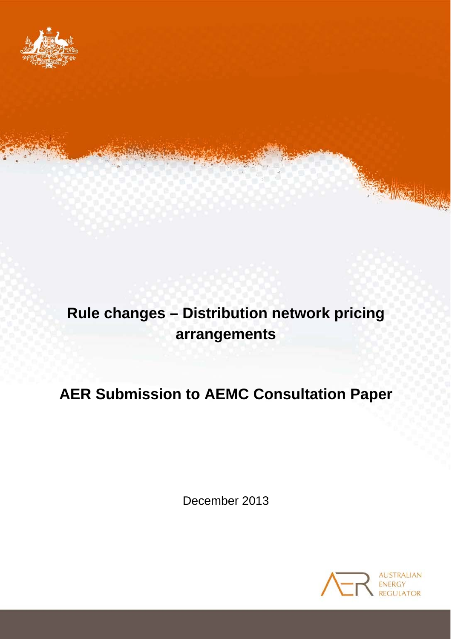

# **Rule changes – Distribution network pricing arrangements**

# **AER Submission to AEMC Consultation Paper**

December 2013

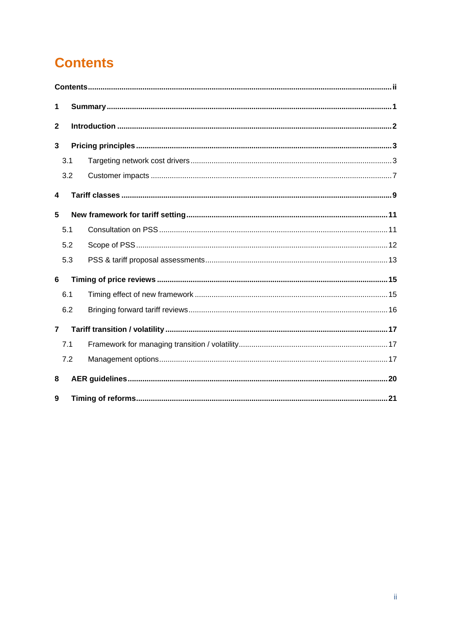# <span id="page-2-0"></span>**Contents**

| 1              |     |  |  |  |
|----------------|-----|--|--|--|
| $\mathbf 2$    |     |  |  |  |
| 3              |     |  |  |  |
|                | 3.1 |  |  |  |
|                | 3.2 |  |  |  |
| 4              |     |  |  |  |
| 5              |     |  |  |  |
|                | 5.1 |  |  |  |
|                | 5.2 |  |  |  |
|                | 5.3 |  |  |  |
| 6              |     |  |  |  |
|                | 6.1 |  |  |  |
|                | 6.2 |  |  |  |
| $\overline{7}$ |     |  |  |  |
|                | 7.1 |  |  |  |
|                | 7.2 |  |  |  |
| 8              |     |  |  |  |
| 9              |     |  |  |  |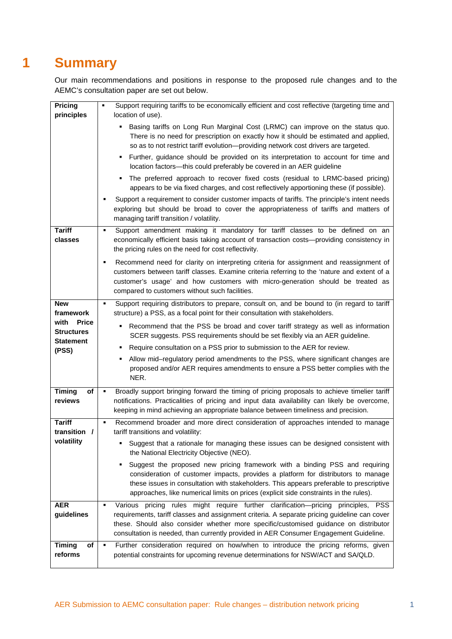# <span id="page-3-0"></span>**1 Summary**

Our main recommendations and positions in response to the proposed rule changes and to the AEMC's consultation paper are set out below.

| Pricing                                   | Support requiring tariffs to be economically efficient and cost reflective (targeting time and<br>٠                                                                                                                                                                                                                                                  |
|-------------------------------------------|------------------------------------------------------------------------------------------------------------------------------------------------------------------------------------------------------------------------------------------------------------------------------------------------------------------------------------------------------|
| principles                                | location of use).                                                                                                                                                                                                                                                                                                                                    |
|                                           | . Basing tariffs on Long Run Marginal Cost (LRMC) can improve on the status quo.<br>There is no need for prescription on exactly how it should be estimated and applied,<br>so as to not restrict tariff evolution-providing network cost drivers are targeted.                                                                                      |
|                                           | • Further, guidance should be provided on its interpretation to account for time and<br>location factors-this could preferably be covered in an AER guideline                                                                                                                                                                                        |
|                                           | The preferred approach to recover fixed costs (residual to LRMC-based pricing)<br>appears to be via fixed charges, and cost reflectively apportioning these (if possible).                                                                                                                                                                           |
|                                           | Support a requirement to consider customer impacts of tariffs. The principle's intent needs<br>exploring but should be broad to cover the appropriateness of tariffs and matters of<br>managing tariff transition / volatility.                                                                                                                      |
| <b>Tariff</b><br>classes                  | Support amendment making it mandatory for tariff classes to be defined on an<br>٠<br>economically efficient basis taking account of transaction costs-providing consistency in<br>the pricing rules on the need for cost reflectivity.                                                                                                               |
|                                           | Recommend need for clarity on interpreting criteria for assignment and reassignment of<br>$\blacksquare$<br>customers between tariff classes. Examine criteria referring to the 'nature and extent of a<br>customer's usage' and how customers with micro-generation should be treated as<br>compared to customers without such facilities.          |
| <b>New</b><br>framework                   | Support requiring distributors to prepare, consult on, and be bound to (in regard to tariff<br>٠<br>structure) a PSS, as a focal point for their consultation with stakeholders.                                                                                                                                                                     |
| with<br><b>Price</b><br><b>Structures</b> | Recommend that the PSS be broad and cover tariff strategy as well as information<br>SCER suggests. PSS requirements should be set flexibly via an AER guideline.                                                                                                                                                                                     |
| Statement<br>(PSS)                        | Require consultation on a PSS prior to submission to the AER for review.<br>٠                                                                                                                                                                                                                                                                        |
|                                           | Allow mid-regulatory period amendments to the PSS, where significant changes are<br>proposed and/or AER requires amendments to ensure a PSS better complies with the<br>NER.                                                                                                                                                                         |
| <b>Timing</b><br>of<br>reviews            | Broadly support bringing forward the timing of pricing proposals to achieve timelier tariff<br>notifications. Practicalities of pricing and input data availability can likely be overcome,<br>keeping in mind achieving an appropriate balance between timeliness and precision.                                                                    |
| <b>Tariff</b><br>transition /             | Recommend broader and more direct consideration of approaches intended to manage<br>٠<br>tariff transitions and volatility:                                                                                                                                                                                                                          |
| volatility                                | Suggest that a rationale for managing these issues can be designed consistent with<br>the National Electricity Objective (NEO).                                                                                                                                                                                                                      |
|                                           | Suggest the proposed new pricing framework with a binding PSS and requiring<br>consideration of customer impacts, provides a platform for distributors to manage<br>these issues in consultation with stakeholders. This appears preferable to prescriptive<br>approaches, like numerical limits on prices (explicit side constraints in the rules). |
| <b>AER</b>                                | Various pricing rules might require further clarification-pricing principles, PSS                                                                                                                                                                                                                                                                    |
| guidelines                                | requirements, tariff classes and assignment criteria. A separate pricing guideline can cover<br>these. Should also consider whether more specific/customised guidance on distributor<br>consultation is needed, than currently provided in AER Consumer Engagement Guideline.                                                                        |
| <b>Timing</b><br>of<br>reforms            | Further consideration required on how/when to introduce the pricing reforms, given<br>٠<br>potential constraints for upcoming revenue determinations for NSW/ACT and SA/QLD.                                                                                                                                                                         |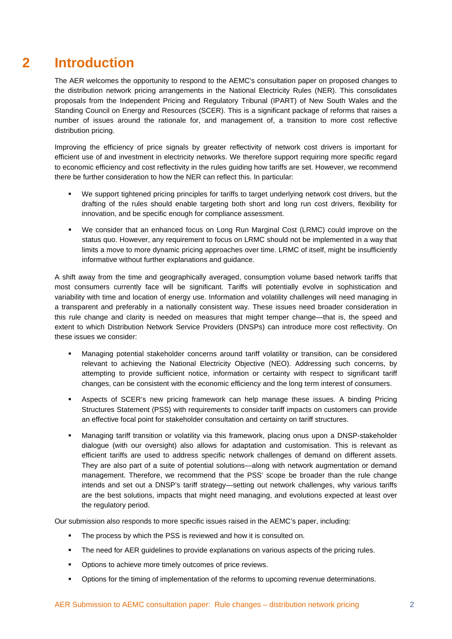# <span id="page-4-0"></span>**2 Introduction**

The AER welcomes the opportunity to respond to the AEMC's consultation paper on proposed changes to the distribution network pricing arrangements in the National Electricity Rules (NER). This consolidates proposals from the Independent Pricing and Regulatory Tribunal (IPART) of New South Wales and the Standing Council on Energy and Resources (SCER). This is a significant package of reforms that raises a number of issues around the rationale for, and management of, a transition to more cost reflective distribution pricing.

Improving the efficiency of price signals by greater reflectivity of network cost drivers is important for efficient use of and investment in electricity networks. We therefore support requiring more specific regard to economic efficiency and cost reflectivity in the rules guiding how tariffs are set. However, we recommend there be further consideration to how the NER can reflect this. In particular:

- We support tightened pricing principles for tariffs to target underlying network cost drivers, but the drafting of the rules should enable targeting both short and long run cost drivers, flexibility for innovation, and be specific enough for compliance assessment.
- We consider that an enhanced focus on Long Run Marginal Cost (LRMC) could improve on the status quo. However, any requirement to focus on LRMC should not be implemented in a way that limits a move to more dynamic pricing approaches over time. LRMC of itself, might be insufficiently informative without further explanations and guidance.

A shift away from the time and geographically averaged, consumption volume based network tariffs that most consumers currently face will be significant. Tariffs will potentially evolve in sophistication and variability with time and location of energy use. Information and volatility challenges will need managing in a transparent and preferably in a nationally consistent way. These issues need broader consideration in this rule change and clarity is needed on measures that might temper change—that is, the speed and extent to which Distribution Network Service Providers (DNSPs) can introduce more cost reflectivity. On these issues we consider:

- Managing potential stakeholder concerns around tariff volatility or transition, can be considered relevant to achieving the National Electricity Objective (NEO). Addressing such concerns, by attempting to provide sufficient notice, information or certainty with respect to significant tariff changes, can be consistent with the economic efficiency and the long term interest of consumers.
- Aspects of SCER's new pricing framework can help manage these issues. A binding Pricing Structures Statement (PSS) with requirements to consider tariff impacts on customers can provide an effective focal point for stakeholder consultation and certainty on tariff structures.
- Managing tariff transition or volatility via this framework, placing onus upon a DNSP-stakeholder dialogue (with our oversight) also allows for adaptation and customisation. This is relevant as efficient tariffs are used to address specific network challenges of demand on different assets. They are also part of a suite of potential solutions—along with network augmentation or demand management. Therefore, we recommend that the PSS' scope be broader than the rule change intends and set out a DNSP's tariff strategy—setting out network challenges, why various tariffs are the best solutions, impacts that might need managing, and evolutions expected at least over the regulatory period.

Our submission also responds to more specific issues raised in the AEMC's paper, including:

- The process by which the PSS is reviewed and how it is consulted on.
- The need for AER guidelines to provide explanations on various aspects of the pricing rules.
- Options to achieve more timely outcomes of price reviews.
- **•** Options for the timing of implementation of the reforms to upcoming revenue determinations.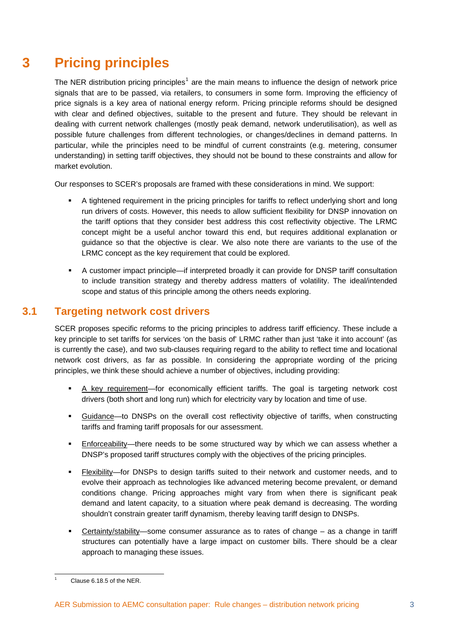# <span id="page-5-0"></span>**3 Pricing principles**

The NER distribution pricing principles<sup>[1](#page-5-2)</sup> are the main means to influence the design of network price signals that are to be passed, via retailers, to consumers in some form. Improving the efficiency of price signals is a key area of national energy reform. Pricing principle reforms should be designed with clear and defined objectives, suitable to the present and future. They should be relevant in dealing with current network challenges (mostly peak demand, network underutilisation), as well as possible future challenges from different technologies, or changes/declines in demand patterns. In particular, while the principles need to be mindful of current constraints (e.g. metering, consumer understanding) in setting tariff objectives, they should not be bound to these constraints and allow for market evolution.

Our responses to SCER's proposals are framed with these considerations in mind. We support:

- A tightened requirement in the pricing principles for tariffs to reflect underlying short and long run drivers of costs. However, this needs to allow sufficient flexibility for DNSP innovation on the tariff options that they consider best address this cost reflectivity objective. The LRMC concept might be a useful anchor toward this end, but requires additional explanation or guidance so that the objective is clear. We also note there are variants to the use of the LRMC concept as the key requirement that could be explored.
- A customer impact principle—if interpreted broadly it can provide for DNSP tariff consultation to include transition strategy and thereby address matters of volatility. The ideal/intended scope and status of this principle among the others needs exploring.

## <span id="page-5-1"></span>**3.1 Targeting network cost drivers**

SCER proposes specific reforms to the pricing principles to address tariff efficiency. These include a key principle to set tariffs for services 'on the basis of' LRMC rather than just 'take it into account' (as is currently the case), and two sub-clauses requiring regard to the ability to reflect time and locational network cost drivers, as far as possible. In considering the appropriate wording of the pricing principles, we think these should achieve a number of objectives, including providing:

- A key requirement—for economically efficient tariffs. The goal is targeting network cost drivers (both short and long run) which for electricity vary by location and time of use.
- Guidance—to DNSPs on the overall cost reflectivity objective of tariffs, when constructing tariffs and framing tariff proposals for our assessment.
- Enforceability—there needs to be some structured way by which we can assess whether a DNSP's proposed tariff structures comply with the objectives of the pricing principles.
- Flexibility—for DNSPs to design tariffs suited to their network and customer needs, and to evolve their approach as technologies like advanced metering become prevalent, or demand conditions change. Pricing approaches might vary from when there is significant peak demand and latent capacity, to a situation where peak demand is decreasing. The wording shouldn't constrain greater tariff dynamism, thereby leaving tariff design to DNSPs.
- Certainty/stability—some consumer assurance as to rates of change as a change in tariff structures can potentially have a large impact on customer bills. There should be a clear approach to managing these issues.

<span id="page-5-2"></span>1 1

Clause 6.18.5 of the NER.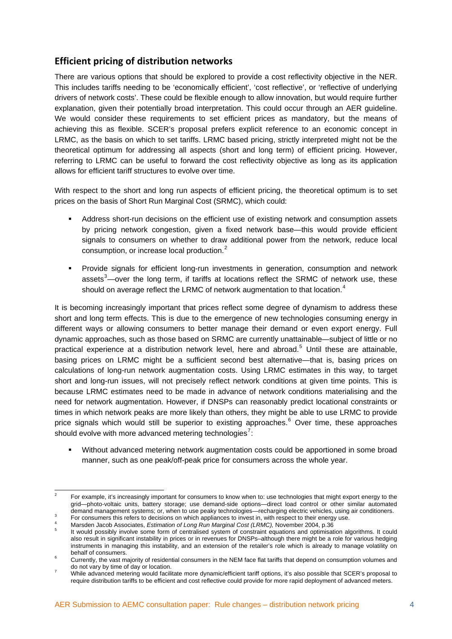### **Efficient pricing of distribution networks**

There are various options that should be explored to provide a cost reflectivity objective in the NER. This includes tariffs needing to be 'economically efficient', 'cost reflective', or 'reflective of underlying drivers of network costs'. These could be flexible enough to allow innovation, but would require further explanation, given their potentially broad interpretation. This could occur through an AER guideline. We would consider these requirements to set efficient prices as mandatory, but the means of achieving this as flexible. SCER's proposal prefers explicit reference to an economic concept in LRMC, as the basis on which to set tariffs. LRMC based pricing, strictly interpreted might not be the theoretical optimum for addressing all aspects (short and long term) of efficient pricing. However, referring to LRMC can be useful to forward the cost reflectivity objective as long as its application allows for efficient tariff structures to evolve over time.

With respect to the short and long run aspects of efficient pricing, the theoretical optimum is to set prices on the basis of Short Run Marginal Cost (SRMC), which could:

- Address short-run decisions on the efficient use of existing network and consumption assets by pricing network congestion, given a fixed network base—this would provide efficient signals to consumers on whether to draw additional power from the network, reduce local consumption, or increase local production.<sup>[2](#page-6-0)</sup>
- Provide signals for efficient long-run investments in generation, consumption and network assets $3$ —over the long term, if tariffs at locations reflect the SRMC of network use, these should on average reflect the LRMC of network augmentation to that location.<sup>[4](#page-6-2)</sup>

It is becoming increasingly important that prices reflect some degree of dynamism to address these short and long term effects. This is due to the emergence of new technologies consuming energy in different ways or allowing consumers to better manage their demand or even export energy. Full dynamic approaches, such as those based on SRMC are currently unattainable—subject of little or no practical experience at a distribution network level, here and abroad.<sup>[5](#page-6-3)</sup> Until these are attainable, basing prices on LRMC might be a sufficient second best alternative—that is, basing prices on calculations of long-run network augmentation costs. Using LRMC estimates in this way, to target short and long-run issues, will not precisely reflect network conditions at given time points. This is because LRMC estimates need to be made in advance of network conditions materialising and the need for network augmentation. However, if DNSPs can reasonably predict locational constraints or times in which network peaks are more likely than others, they might be able to use LRMC to provide price signals which would still be superior to existing approaches.<sup>[6](#page-6-4)</sup> Over time, these approaches should evolve with more advanced metering technologies<sup>[7](#page-6-5)</sup>:

 Without advanced metering network augmentation costs could be apportioned in some broad manner, such as one peak/off-peak price for consumers across the whole year.

<span id="page-6-0"></span> $\frac{1}{2}$  For example, it's increasingly important for consumers to know when to: use technologies that might export energy to the grid—photo-voltaic units, battery storage; use demand-side options—direct load control or other similar automated demand management systems; or, when to use peaky technologies—recharging electric vehicles, using air conditioners. For consumers this refers to decisions on which appliances to invest in, with respect to their energy use. 4

<span id="page-6-1"></span>

<span id="page-6-3"></span><span id="page-6-2"></span>Marsden Jacob Associates, *Estimation of Long Run Marginal Cost (LRMC)*, November 2004, p.36 It would possibly involve some form of centralised system of constraint equations and optimisation algorithms. It could also result in significant instability in prices or in revenues for DNSPs–although there might be a role for various hedging instruments in managing this instability, and an extension of the retailer's role which is already to manage volatility on behalf of consumers.

<span id="page-6-4"></span>Currently, the vast majority of residential consumers in the NEM face flat tariffs that depend on consumption volumes and do not vary by time of day or location.

<span id="page-6-5"></span>While advanced metering would facilitate more dynamic/efficient tariff options, it's also possible that SCER's proposal to require distribution tariffs to be efficient and cost reflective could provide for more rapid deployment of advanced meters.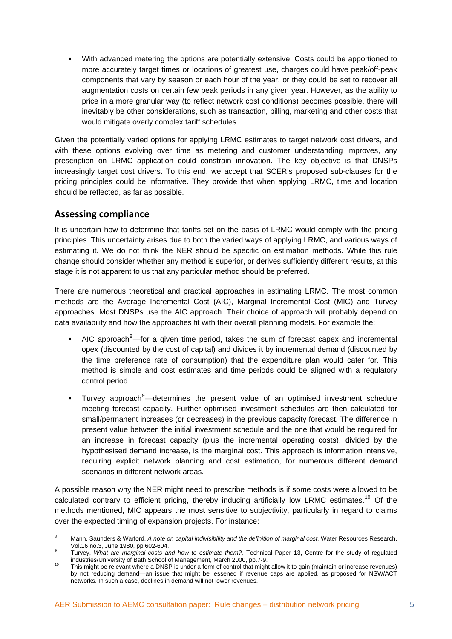With advanced metering the options are potentially extensive. Costs could be apportioned to more accurately target times or locations of greatest use, charges could have peak/off-peak components that vary by season or each hour of the year, or they could be set to recover all augmentation costs on certain few peak periods in any given year. However, as the ability to price in a more granular way (to reflect network cost conditions) becomes possible, there will inevitably be other considerations, such as transaction, billing, marketing and other costs that would mitigate overly complex tariff schedules .

Given the potentially varied options for applying LRMC estimates to target network cost drivers, and with these options evolving over time as metering and customer understanding improves, any prescription on LRMC application could constrain innovation. The key objective is that DNSPs increasingly target cost drivers. To this end, we accept that SCER's proposed sub-clauses for the pricing principles could be informative. They provide that when applying LRMC, time and location should be reflected, as far as possible.

#### **Assessing compliance**

It is uncertain how to determine that tariffs set on the basis of LRMC would comply with the pricing principles. This uncertainty arises due to both the varied ways of applying LRMC, and various ways of estimating it. We do not think the NER should be specific on estimation methods. While this rule change should consider whether any method is superior, or derives sufficiently different results, at this stage it is not apparent to us that any particular method should be preferred.

There are numerous theoretical and practical approaches in estimating LRMC. The most common methods are the Average Incremental Cost (AIC), Marginal Incremental Cost (MIC) and Turvey approaches. Most DNSPs use the AIC approach. Their choice of approach will probably depend on data availability and how the approaches fit with their overall planning models. For example the:

- $\blacksquare$  AIC approach<sup>[8](#page-7-0)</sup>—for a given time period, takes the sum of forecast capex and incremental opex (discounted by the cost of capital) and divides it by incremental demand (discounted by the time preference rate of consumption) that the expenditure plan would cater for. This method is simple and cost estimates and time periods could be aligned with a regulatory control period.
- Turvey approach<sup>[9](#page-7-1)</sup>—determines the present value of an optimised investment schedule meeting forecast capacity. Further optimised investment schedules are then calculated for small/permanent increases (or decreases) in the previous capacity forecast. The difference in present value between the initial investment schedule and the one that would be required for an increase in forecast capacity (plus the incremental operating costs), divided by the hypothesised demand increase, is the marginal cost. This approach is information intensive, requiring explicit network planning and cost estimation, for numerous different demand scenarios in different network areas.

A possible reason why the NER might need to prescribe methods is if some costs were allowed to be calculated contrary to efficient pricing, thereby inducing artificially low LRMC estimates.<sup>[10](#page-7-2)</sup> Of the methods mentioned, MIC appears the most sensitive to subjectivity, particularly in regard to claims over the expected timing of expansion projects. For instance:

<span id="page-7-0"></span><sup>-</sup>8 Mann, Saunders & Warford, *A note on capital indivisibility and the definition of marginal cost*, Water Resources Research, Vol.16 no.3, June 1980, pp.602-604.

<span id="page-7-1"></span>Turvey, *What are marginal costs and how to estimate them?*, Technical Paper 13, Centre for the study of regulated industries/University of Bath School of Management, March 2000, pp.7-9.

<span id="page-7-2"></span>industries/University of Bath School of Management, March 2000, pp.7-9.<br><sup>10</sup> This might be relevant where a DNSP is under a form of control that might allow it to gain (maintain or increase revenues) by not reducing demand—an issue that might be lessened if revenue caps are applied, as proposed for NSW/ACT networks. In such a case, declines in demand will not lower revenues.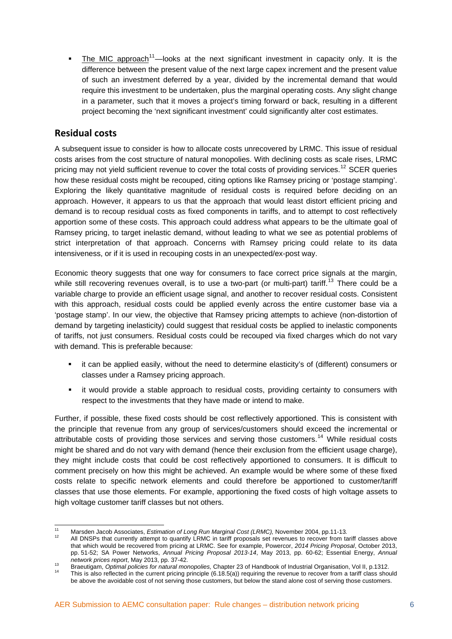The MIC approach<sup>[11](#page-8-0)</sup>—looks at the next significant investment in capacity only. It is the difference between the present value of the next large capex increment and the present value of such an investment deferred by a year, divided by the incremental demand that would require this investment to be undertaken, plus the marginal operating costs. Any slight change in a parameter, such that it moves a project's timing forward or back, resulting in a different project becoming the 'next significant investment' could significantly alter cost estimates.

### **Residual costs**

A subsequent issue to consider is how to allocate costs unrecovered by LRMC. This issue of residual costs arises from the cost structure of natural monopolies. With declining costs as scale rises, LRMC pricing may not yield sufficient revenue to cover the total costs of providing services.<sup>[12](#page-8-1)</sup> SCER queries how these residual costs might be recouped, citing options like Ramsey pricing or 'postage stamping'. Exploring the likely quantitative magnitude of residual costs is required before deciding on an approach. However, it appears to us that the approach that would least distort efficient pricing and demand is to recoup residual costs as fixed components in tariffs, and to attempt to cost reflectively apportion some of these costs. This approach could address what appears to be the ultimate goal of Ramsey pricing, to target inelastic demand, without leading to what we see as potential problems of strict interpretation of that approach. Concerns with Ramsey pricing could relate to its data intensiveness, or if it is used in recouping costs in an unexpected/ex-post way.

Economic theory suggests that one way for consumers to face correct price signals at the margin, while still recovering revenues overall, is to use a two-part (or multi-part) tariff.<sup>[13](#page-8-2)</sup> There could be a variable charge to provide an efficient usage signal, and another to recover residual costs. Consistent with this approach, residual costs could be applied evenly across the entire customer base via a 'postage stamp'. In our view, the objective that Ramsey pricing attempts to achieve (non-distortion of demand by targeting inelasticity) could suggest that residual costs be applied to inelastic components of tariffs, not just consumers. Residual costs could be recouped via fixed charges which do not vary with demand. This is preferable because:

- it can be applied easily, without the need to determine elasticity's of (different) consumers or classes under a Ramsey pricing approach.
- it would provide a stable approach to residual costs, providing certainty to consumers with respect to the investments that they have made or intend to make.

Further, if possible, these fixed costs should be cost reflectively apportioned. This is consistent with the principle that revenue from any group of services/customers should exceed the incremental or attributable costs of providing those services and serving those customers.<sup>[14](#page-8-3)</sup> While residual costs might be shared and do not vary with demand (hence their exclusion from the efficient usage charge), they might include costs that could be cost reflectively apportioned to consumers. It is difficult to comment precisely on how this might be achieved. An example would be where some of these fixed costs relate to specific network elements and could therefore be apportioned to customer/tariff classes that use those elements. For example, apportioning the fixed costs of high voltage assets to high voltage customer tariff classes but not others.

 $11$ 

<span id="page-8-1"></span><span id="page-8-0"></span><sup>&</sup>lt;sup>11</sup> Marsden Jacob Associates, *Estimation of Long Run Marginal Cost (LRMC),* November 2004, pp.11-13.<br><sup>12</sup> All DNSPs that currently attempt to quantify LRMC in tariff proposals set revenues to recover from tariff classes that which would be recovered from pricing at LRMC. See for example, Powercor, *2014 Pricing Proposal*, October 2013, pp. 51-52; SA Power Networks, *Annual Pricing Proposal 2013-14*, May 2013, pp. 60-62; Essential Energy, *Annual* 

network prices report, May 2013, pp. 37-42.<br>Braeutigam, Optimal policies for natural monopolies, Chapter 23 of Handbook of Industrial Organisation, Vol II, p.1312.<br><sup>14</sup> This is also reflected in the current pricing princip

<span id="page-8-3"></span><span id="page-8-2"></span>be above the avoidable cost of not serving those customers, but below the stand alone cost of serving those customers.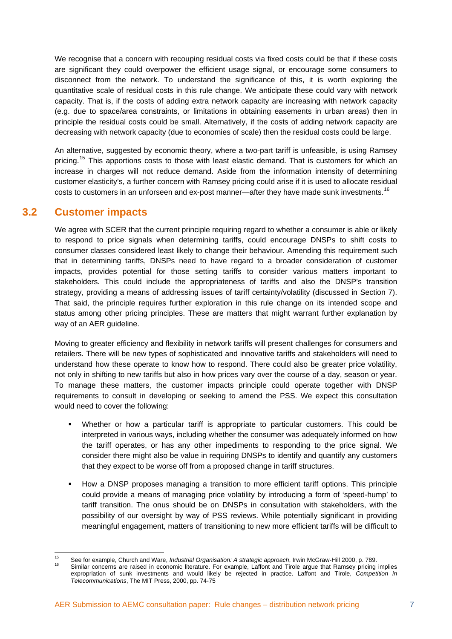We recognise that a concern with recouping residual costs via fixed costs could be that if these costs are significant they could overpower the efficient usage signal, or encourage some consumers to disconnect from the network. To understand the significance of this, it is worth exploring the quantitative scale of residual costs in this rule change. We anticipate these could vary with network capacity. That is, if the costs of adding extra network capacity are increasing with network capacity (e.g. due to space/area constraints, or limitations in obtaining easements in urban areas) then in principle the residual costs could be small. Alternatively, if the costs of adding network capacity are decreasing with network capacity (due to economies of scale) then the residual costs could be large.

An alternative, suggested by economic theory, where a two-part tariff is unfeasible, is using Ramsey pricing.<sup>[15](#page-9-1)</sup> This apportions costs to those with least elastic demand. That is customers for which an increase in charges will not reduce demand. Aside from the information intensity of determining customer elasticity's, a further concern with Ramsey pricing could arise if it is used to allocate residual costs to customers in an unforseen and ex-post manner—after they have made sunk investments.<sup>[16](#page-9-2)</sup>

#### <span id="page-9-0"></span>**3.2 Customer impacts**

We agree with SCER that the current principle requiring regard to whether a consumer is able or likely to respond to price signals when determining tariffs, could encourage DNSPs to shift costs to consumer classes considered least likely to change their behaviour. Amending this requirement such that in determining tariffs, DNSPs need to have regard to a broader consideration of customer impacts, provides potential for those setting tariffs to consider various matters important to stakeholders. This could include the appropriateness of tariffs and also the DNSP's transition strategy, providing a means of addressing issues of tariff certainty/volatility (discussed in Section 7). That said, the principle requires further exploration in this rule change on its intended scope and status among other pricing principles. These are matters that might warrant further explanation by way of an AER guideline.

Moving to greater efficiency and flexibility in network tariffs will present challenges for consumers and retailers. There will be new types of sophisticated and innovative tariffs and stakeholders will need to understand how these operate to know how to respond. There could also be greater price volatility, not only in shifting to new tariffs but also in how prices vary over the course of a day, season or year. To manage these matters, the customer impacts principle could operate together with DNSP requirements to consult in developing or seeking to amend the PSS. We expect this consultation would need to cover the following:

- Whether or how a particular tariff is appropriate to particular customers. This could be interpreted in various ways, including whether the consumer was adequately informed on how the tariff operates, or has any other impediments to responding to the price signal. We consider there might also be value in requiring DNSPs to identify and quantify any customers that they expect to be worse off from a proposed change in tariff structures.
- How a DNSP proposes managing a transition to more efficient tariff options. This principle could provide a means of managing price volatility by introducing a form of 'speed-hump' to tariff transition. The onus should be on DNSPs in consultation with stakeholders, with the possibility of our oversight by way of PSS reviews. While potentially significant in providing meaningful engagement, matters of transitioning to new more efficient tariffs will be difficult to

<span id="page-9-2"></span><span id="page-9-1"></span><sup>15</sup> <sup>15</sup> See for example, Church and Ware, *Industrial Organisation: A strategic approach*, Irwin McGraw-Hill 2000, p. 789.<br><sup>16</sup> Similar concerns are raised in economic literature. For example, Laffont and Tirole argue that Ra expropriation of sunk investments and would likely be rejected in practice. Laffont and Tirole, *Competition in Telecommunications*, The MIT Press, 2000, pp. 74-75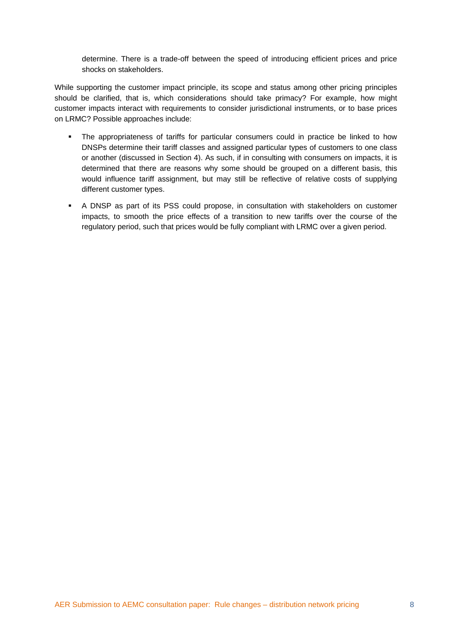determine. There is a trade-off between the speed of introducing efficient prices and price shocks on stakeholders.

While supporting the customer impact principle, its scope and status among other pricing principles should be clarified, that is, which considerations should take primacy? For example, how might customer impacts interact with requirements to consider jurisdictional instruments, or to base prices on LRMC? Possible approaches include:

- The appropriateness of tariffs for particular consumers could in practice be linked to how DNSPs determine their tariff classes and assigned particular types of customers to one class or another (discussed in Section 4). As such, if in consulting with consumers on impacts, it is determined that there are reasons why some should be grouped on a different basis, this would influence tariff assignment, but may still be reflective of relative costs of supplying different customer types.
- A DNSP as part of its PSS could propose, in consultation with stakeholders on customer impacts, to smooth the price effects of a transition to new tariffs over the course of the regulatory period, such that prices would be fully compliant with LRMC over a given period.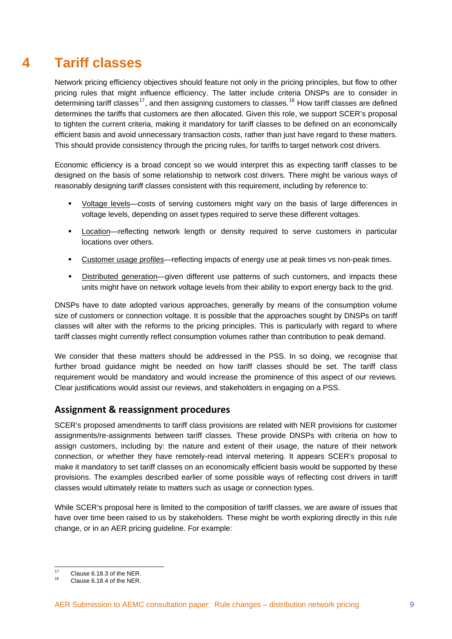# <span id="page-11-0"></span>**4 Tariff classes**

Network pricing efficiency objectives should feature not only in the pricing principles, but flow to other pricing rules that might influence efficiency. The latter include criteria DNSPs are to consider in determining tariff classes<sup>[17](#page-11-1)</sup>, and then assigning customers to classes.<sup>[18](#page-11-2)</sup> How tariff classes are defined determines the tariffs that customers are then allocated. Given this role, we support SCER's proposal to tighten the current criteria, making it mandatory for tariff classes to be defined on an economically efficient basis and avoid unnecessary transaction costs, rather than just have regard to these matters. This should provide consistency through the pricing rules, for tariffs to target network cost drivers.

Economic efficiency is a broad concept so we would interpret this as expecting tariff classes to be designed on the basis of some relationship to network cost drivers. There might be various ways of reasonably designing tariff classes consistent with this requirement, including by reference to:

- Voltage levels—costs of serving customers might vary on the basis of large differences in voltage levels, depending on asset types required to serve these different voltages.
- Location—reflecting network length or density required to serve customers in particular locations over others.
- Customer usage profiles—reflecting impacts of energy use at peak times vs non-peak times.
- Distributed generation—given different use patterns of such customers, and impacts these units might have on network voltage levels from their ability to export energy back to the grid.

DNSPs have to date adopted various approaches, generally by means of the consumption volume size of customers or connection voltage. It is possible that the approaches sought by DNSPs on tariff classes will alter with the reforms to the pricing principles. This is particularly with regard to where tariff classes might currently reflect consumption volumes rather than contribution to peak demand.

We consider that these matters should be addressed in the PSS. In so doing, we recognise that further broad guidance might be needed on how tariff classes should be set. The tariff class requirement would be mandatory and would increase the prominence of this aspect of our reviews. Clear justifications would assist our reviews, and stakeholders in engaging on a PSS.

### **Assignment & reassignment procedures**

SCER's proposed amendments to tariff class provisions are related with NER provisions for customer assignments/re-assignments between tariff classes. These provide DNSPs with criteria on how to assign customers, including by: the nature and extent of their usage, the nature of their network connection, or whether they have remotely-read interval metering. It appears SCER's proposal to make it mandatory to set tariff classes on an economically efficient basis would be supported by these provisions. The examples described earlier of some possible ways of reflecting cost drivers in tariff classes would ultimately relate to matters such as usage or connection types.

While SCER's proposal here is limited to the composition of tariff classes, we are aware of issues that have over time been raised to us by stakeholders. These might be worth exploring directly in this rule change, or in an AER pricing guideline. For example:

<span id="page-11-1"></span> $17$ <sup>17</sup> Clause 6.18.3 of the NER.<br><sup>18</sup> Clause 6.18.4 of the NER.

<span id="page-11-2"></span>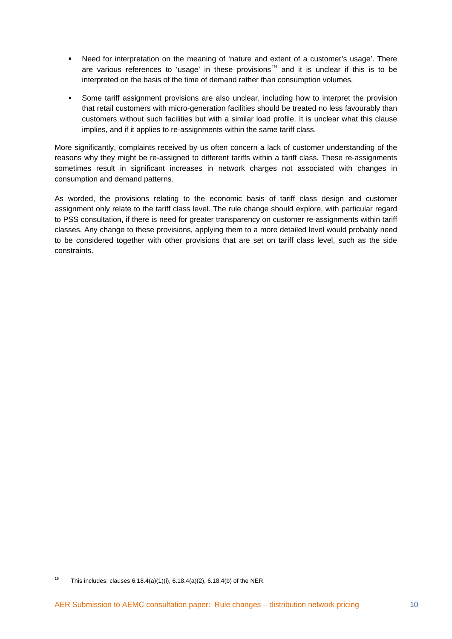- Need for interpretation on the meaning of 'nature and extent of a customer's usage'. There are various references to 'usage' in these provisions<sup>[19](#page-12-0)</sup> and it is unclear if this is to be interpreted on the basis of the time of demand rather than consumption volumes.
- Some tariff assignment provisions are also unclear, including how to interpret the provision that retail customers with micro-generation facilities should be treated no less favourably than customers without such facilities but with a similar load profile. It is unclear what this clause implies, and if it applies to re-assignments within the same tariff class.

More significantly, complaints received by us often concern a lack of customer understanding of the reasons why they might be re-assigned to different tariffs within a tariff class. These re-assignments sometimes result in significant increases in network charges not associated with changes in consumption and demand patterns.

As worded, the provisions relating to the economic basis of tariff class design and customer assignment only relate to the tariff class level. The rule change should explore, with particular regard to PSS consultation, if there is need for greater transparency on customer re-assignments within tariff classes. Any change to these provisions, applying them to a more detailed level would probably need to be considered together with other provisions that are set on tariff class level, such as the side constraints.

<span id="page-12-0"></span><sup>19</sup> This includes: clauses  $6.18.4(a)(1)(i)$ ,  $6.18.4(a)(2)$ ,  $6.18.4(b)$  of the NER.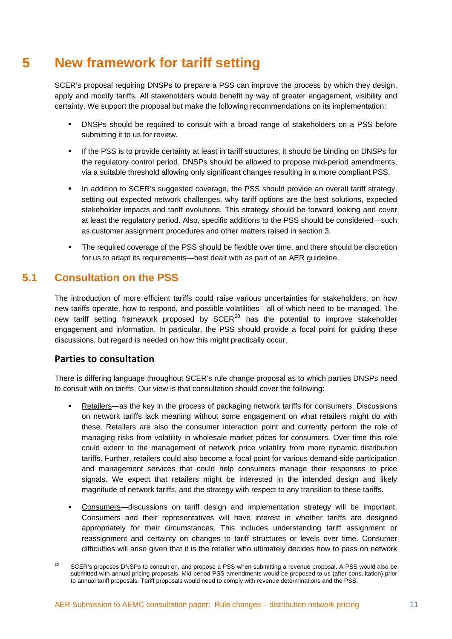# <span id="page-13-0"></span>**5 New framework for tariff setting**

SCER's proposal requiring DNSPs to prepare a PSS can improve the process by which they design, apply and modify tariffs. All stakeholders would benefit by way of greater engagement, visibility and certainty. We support the proposal but make the following recommendations on its implementation:

- **DNSPs should be required to consult with a broad range of stakeholders on a PSS before** submitting it to us for review.
- **If the PSS is to provide certainty at least in tariff structures, it should be binding on DNSPs for** the regulatory control period. DNSPs should be allowed to propose mid-period amendments, via a suitable threshold allowing only significant changes resulting in a more compliant PSS.
- In addition to SCER's suggested coverage, the PSS should provide an overall tariff strategy, setting out expected network challenges, why tariff options are the best solutions, expected stakeholder impacts and tariff evolutions. This strategy should be forward looking and cover at least the regulatory period. Also, specific additions to the PSS should be considered—such as customer assignment procedures and other matters raised in section 3.
- The required coverage of the PSS should be flexible over time, and there should be discretion for us to adapt its requirements—best dealt with as part of an AER guideline.

### <span id="page-13-1"></span>**5.1 Consultation on the PSS**

The introduction of more efficient tariffs could raise various uncertainties for stakeholders, on how new tariffs operate, how to respond, and possible volatilities—all of which need to be managed. The new tariff setting framework proposed by  $SCER<sup>20</sup>$  $SCER<sup>20</sup>$  $SCER<sup>20</sup>$  has the potential to improve stakeholder engagement and information. In particular, the PSS should provide a focal point for guiding these discussions, but regard is needed on how this might practically occur.

#### **Parties to consultation**

There is differing language throughout SCER's rule change proposal as to which parties DNSPs need to consult with on tariffs. Our view is that consultation should cover the following:

- Retailers—as the key in the process of packaging network tariffs for consumers. Discussions on network tariffs lack meaning without some engagement on what retailers might do with these. Retailers are also the consumer interaction point and currently perform the role of managing risks from volatility in wholesale market prices for consumers. Over time this role could extent to the management of network price volatility from more dynamic distribution tariffs. Further, retailers could also become a focal point for various demand-side participation and management services that could help consumers manage their responses to price signals. We expect that retailers might be interested in the intended design and likely magnitude of network tariffs, and the strategy with respect to any transition to these tariffs.
- Consumers—discussions on tariff design and implementation strategy will be important. Consumers and their representatives will have interest in whether tariffs are designed appropriately for their circumstances. This includes understanding tariff assignment or reassignment and certainty on changes to tariff structures or levels over time. Consumer difficulties will arise given that it is the retailer who ultimately decides how to pass on network

<span id="page-13-2"></span> $20$ SCER's proposes DNSPs to consult on, and propose a PSS when submitting a revenue proposal. A PSS would also be submitted with annual pricing proposals. Mid-period PSS amendments would be proposed to us (after consultation) prior to annual tariff proposals. Tariff proposals would need to comply with revenue determinations and the PSS.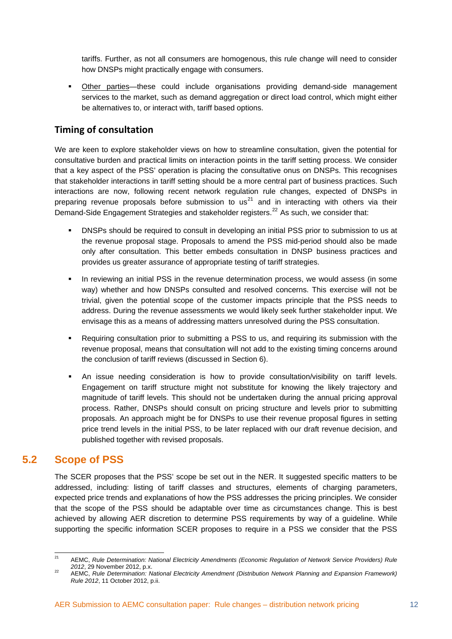tariffs. Further, as not all consumers are homogenous, this rule change will need to consider how DNSPs might practically engage with consumers.

 Other parties—these could include organisations providing demand-side management services to the market, such as demand aggregation or direct load control, which might either be alternatives to, or interact with, tariff based options.

#### **Timing of consultation**

We are keen to explore stakeholder views on how to streamline consultation, given the potential for consultative burden and practical limits on interaction points in the tariff setting process. We consider that a key aspect of the PSS' operation is placing the consultative onus on DNSPs. This recognises that stakeholder interactions in tariff setting should be a more central part of business practices. Such interactions are now, following recent network regulation rule changes, expected of DNSPs in preparing revenue proposals before submission to  $us<sup>21</sup>$  $us<sup>21</sup>$  $us<sup>21</sup>$  and in interacting with others via their Demand-Side Engagement Strategies and stakeholder registers.<sup>[22](#page-14-2)</sup> As such, we consider that:

- DNSPs should be required to consult in developing an initial PSS prior to submission to us at the revenue proposal stage. Proposals to amend the PSS mid-period should also be made only after consultation. This better embeds consultation in DNSP business practices and provides us greater assurance of appropriate testing of tariff strategies.
- In reviewing an initial PSS in the revenue determination process, we would assess (in some way) whether and how DNSPs consulted and resolved concerns. This exercise will not be trivial, given the potential scope of the customer impacts principle that the PSS needs to address. During the revenue assessments we would likely seek further stakeholder input. We envisage this as a means of addressing matters unresolved during the PSS consultation.
- Requiring consultation prior to submitting a PSS to us, and requiring its submission with the revenue proposal, means that consultation will not add to the existing timing concerns around the conclusion of tariff reviews (discussed in Section 6).
- An issue needing consideration is how to provide consultation/visibility on tariff levels. Engagement on tariff structure might not substitute for knowing the likely trajectory and magnitude of tariff levels. This should not be undertaken during the annual pricing approval process. Rather, DNSPs should consult on pricing structure and levels prior to submitting proposals. An approach might be for DNSPs to use their revenue proposal figures in setting price trend levels in the initial PSS, to be later replaced with our draft revenue decision, and published together with revised proposals.

### <span id="page-14-0"></span>**5.2 Scope of PSS**

The SCER proposes that the PSS' scope be set out in the NER. It suggested specific matters to be addressed, including: listing of tariff classes and structures, elements of charging parameters, expected price trends and explanations of how the PSS addresses the pricing principles. We consider that the scope of the PSS should be adaptable over time as circumstances change. This is best achieved by allowing AER discretion to determine PSS requirements by way of a guideline. While supporting the specific information SCER proposes to require in a PSS we consider that the PSS

<span id="page-14-1"></span> $21$ 21 AEMC, *Rule Determination: National Electricity Amendments (Economic Regulation of Network Service Providers) Rule <sup>2012</sup>*, 29 November 2012, p.x. 22 AEMC, *Rule Determination: National Electricity Amendment (Distribution Network Planning and Expansion Framework)* 

<span id="page-14-2"></span>*Rule 2012*, 11 October 2012, p.ii.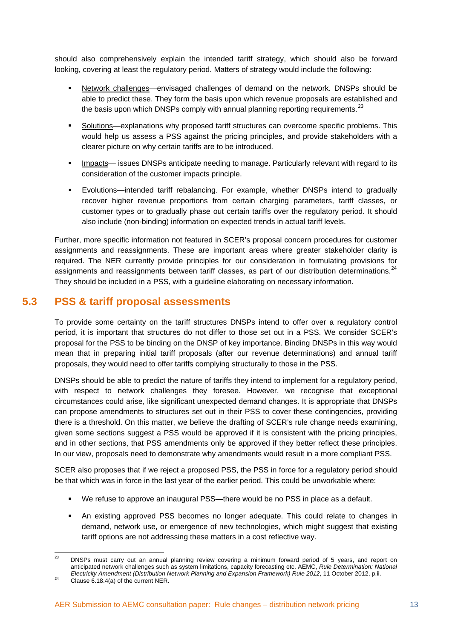should also comprehensively explain the intended tariff strategy, which should also be forward looking, covering at least the regulatory period. Matters of strategy would include the following:

- Network challenges—envisaged challenges of demand on the network. DNSPs should be able to predict these. They form the basis upon which revenue proposals are established and the basis upon which DNSPs comply with annual planning reporting requirements. $^{23}$  $^{23}$  $^{23}$
- Solutions—explanations why proposed tariff structures can overcome specific problems. This would help us assess a PSS against the pricing principles, and provide stakeholders with a clearer picture on why certain tariffs are to be introduced.
- **IMPACT 4.5 Impacts— issues DNSPs anticipate needing to manage. Particularly relevant with regard to its** consideration of the customer impacts principle.
- Evolutions—intended tariff rebalancing. For example, whether DNSPs intend to gradually recover higher revenue proportions from certain charging parameters, tariff classes, or customer types or to gradually phase out certain tariffs over the regulatory period. It should also include (non-binding) information on expected trends in actual tariff levels.

Further, more specific information not featured in SCER's proposal concern procedures for customer assignments and reassignments. These are important areas where greater stakeholder clarity is required. The NER currently provide principles for our consideration in formulating provisions for assignments and reassignments between tariff classes, as part of our distribution determinations.<sup>[24](#page-15-2)</sup> They should be included in a PSS, with a guideline elaborating on necessary information.

### <span id="page-15-0"></span>**5.3 PSS & tariff proposal assessments**

To provide some certainty on the tariff structures DNSPs intend to offer over a regulatory control period, it is important that structures do not differ to those set out in a PSS. We consider SCER's proposal for the PSS to be binding on the DNSP of key importance. Binding DNSPs in this way would mean that in preparing initial tariff proposals (after our revenue determinations) and annual tariff proposals, they would need to offer tariffs complying structurally to those in the PSS.

DNSPs should be able to predict the nature of tariffs they intend to implement for a regulatory period, with respect to network challenges they foresee. However, we recognise that exceptional circumstances could arise, like significant unexpected demand changes. It is appropriate that DNSPs can propose amendments to structures set out in their PSS to cover these contingencies, providing there is a threshold. On this matter, we believe the drafting of SCER's rule change needs examining, given some sections suggest a PSS would be approved if it is consistent with the pricing principles, and in other sections, that PSS amendments only be approved if they better reflect these principles. In our view, proposals need to demonstrate why amendments would result in a more compliant PSS.

SCER also proposes that if we reject a proposed PSS, the PSS in force for a regulatory period should be that which was in force in the last year of the earlier period. This could be unworkable where:

- We refuse to approve an inaugural PSS—there would be no PSS in place as a default.
- An existing approved PSS becomes no longer adequate. This could relate to changes in demand, network use, or emergence of new technologies, which might suggest that existing tariff options are not addressing these matters in a cost reflective way.

<span id="page-15-1"></span><sup>23</sup> DNSPs must carry out an annual planning review covering a minimum forward period of 5 years, and report on anticipated network challenges such as system limitations, capacity forecasting etc. AEMC, *Rule Determination: National Electricity Amendment (Distribution Network Planning and Expansion Framework) Rule 2012*, 11 October 2012, p.ii. 24 Clause 6.18.4(a) of the current NER.

<span id="page-15-2"></span>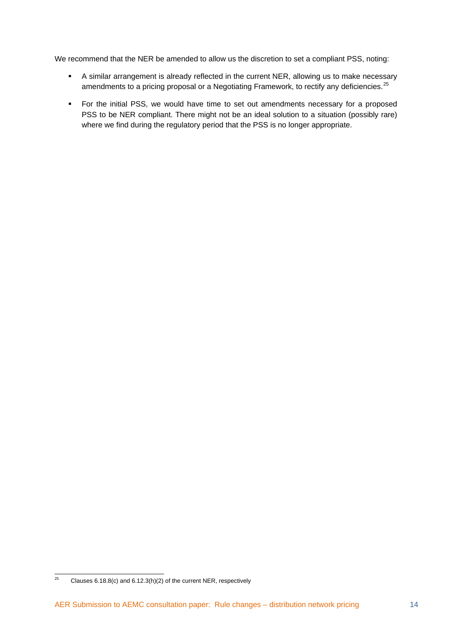We recommend that the NER be amended to allow us the discretion to set a compliant PSS, noting:

- A similar arrangement is already reflected in the current NER, allowing us to make necessary amendments to a pricing proposal or a Negotiating Framework, to rectify any deficiencies.<sup>[25](#page-16-0)</sup>
- For the initial PSS, we would have time to set out amendments necessary for a proposed PSS to be NER compliant. There might not be an ideal solution to a situation (possibly rare) where we find during the regulatory period that the PSS is no longer appropriate.

<span id="page-16-0"></span> $\overline{25}$ 25 Clauses 6.18.8(c) and 6.12.3(h)(2) of the current NER, respectively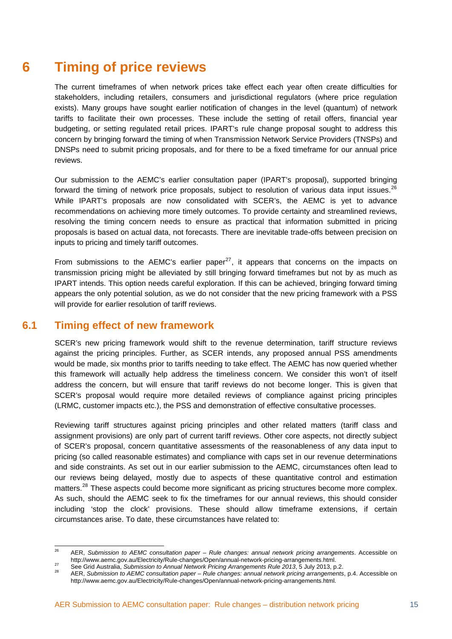# <span id="page-17-0"></span>**6 Timing of price reviews**

The current timeframes of when network prices take effect each year often create difficulties for stakeholders, including retailers, consumers and jurisdictional regulators (where price regulation exists). Many groups have sought earlier notification of changes in the level (quantum) of network tariffs to facilitate their own processes. These include the setting of retail offers, financial year budgeting, or setting regulated retail prices. IPART's rule change proposal sought to address this concern by bringing forward the timing of when Transmission Network Service Providers (TNSPs) and DNSPs need to submit pricing proposals, and for there to be a fixed timeframe for our annual price reviews.

Our submission to the AEMC's earlier consultation paper (IPART's proposal), supported bringing forward the timing of network price proposals, subject to resolution of various data input issues. $^{26}$  $^{26}$  $^{26}$ While IPART's proposals are now consolidated with SCER's, the AEMC is yet to advance recommendations on achieving more timely outcomes. To provide certainty and streamlined reviews, resolving the timing concern needs to ensure as practical that information submitted in pricing proposals is based on actual data, not forecasts. There are inevitable trade-offs between precision on inputs to pricing and timely tariff outcomes.

From submissions to the AEMC's earlier paper<sup>[27](#page-17-3)</sup>, it appears that concerns on the impacts on transmission pricing might be alleviated by still bringing forward timeframes but not by as much as IPART intends. This option needs careful exploration. If this can be achieved, bringing forward timing appears the only potential solution, as we do not consider that the new pricing framework with a PSS will provide for earlier resolution of tariff reviews.

### <span id="page-17-1"></span>**6.1 Timing effect of new framework**

SCER's new pricing framework would shift to the revenue determination, tariff structure reviews against the pricing principles. Further, as SCER intends, any proposed annual PSS amendments would be made, six months prior to tariffs needing to take effect. The AEMC has now queried whether this framework will actually help address the timeliness concern. We consider this won't of itself address the concern, but will ensure that tariff reviews do not become longer. This is given that SCER's proposal would require more detailed reviews of compliance against pricing principles (LRMC, customer impacts etc.), the PSS and demonstration of effective consultative processes.

Reviewing tariff structures against pricing principles and other related matters (tariff class and assignment provisions) are only part of current tariff reviews. Other core aspects, not directly subject of SCER's proposal, concern quantitative assessments of the reasonableness of any data input to pricing (so called reasonable estimates) and compliance with caps set in our revenue determinations and side constraints. As set out in our earlier submission to the AEMC, circumstances often lead to our reviews being delayed, mostly due to aspects of these quantitative control and estimation matters.<sup>[28](#page-17-4)</sup> These aspects could become more significant as pricing structures become more complex. As such, should the AEMC seek to fix the timeframes for our annual reviews, this should consider including 'stop the clock' provisions. These should allow timeframe extensions, if certain circumstances arise. To date, these circumstances have related to:

<span id="page-17-2"></span> $26$ AER, *Submission to AEMC consultation paper – Rule changes: annual network pricing arrangements. Accessible on*<br>http://www.aemc.gov.au/Electricity/Rule-changes/Open/annual-network-pricing-arrangements.html.

<span id="page-17-4"></span><span id="page-17-3"></span>See Grid Australia, Submission to Annual Network Pricing Arrangements Rule 2013, 5 July 2013, p.2.<br>AER, Submission to AEMC consultation paper – Rule changes: annual network pricing arrangements, p.2. http://www.aemc.gov.au/Electricity/Rule-changes/Open/annual-network-pricing-arrangements.html.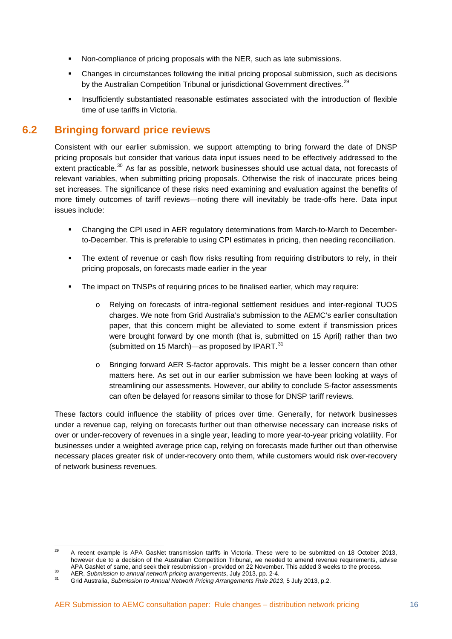- Non-compliance of pricing proposals with the NER, such as late submissions.
- Changes in circumstances following the initial pricing proposal submission, such as decisions by the Australian Competition Tribunal or jurisdictional Government directives.<sup>[29](#page-18-1)</sup>
- **Insufficiently substantiated reasonable estimates associated with the introduction of flexible** time of use tariffs in Victoria.

### <span id="page-18-0"></span>**6.2 Bringing forward price reviews**

Consistent with our earlier submission, we support attempting to bring forward the date of DNSP pricing proposals but consider that various data input issues need to be effectively addressed to the extent practicable.<sup>[30](#page-18-2)</sup> As far as possible, network businesses should use actual data, not forecasts of relevant variables, when submitting pricing proposals. Otherwise the risk of inaccurate prices being set increases. The significance of these risks need examining and evaluation against the benefits of more timely outcomes of tariff reviews—noting there will inevitably be trade-offs here. Data input issues include:

- Changing the CPI used in AER regulatory determinations from March-to-March to Decemberto-December. This is preferable to using CPI estimates in pricing, then needing reconciliation.
- The extent of revenue or cash flow risks resulting from requiring distributors to rely, in their pricing proposals, on forecasts made earlier in the year
- The impact on TNSPs of requiring prices to be finalised earlier, which may require:
	- o Relying on forecasts of intra-regional settlement residues and inter-regional TUOS charges. We note from Grid Australia's submission to the AEMC's earlier consultation paper, that this concern might be alleviated to some extent if transmission prices were brought forward by one month (that is, submitted on 15 April) rather than two (submitted on 15 March)—as proposed by IPART. $31$
	- o Bringing forward AER S-factor approvals. This might be a lesser concern than other matters here. As set out in our earlier submission we have been looking at ways of streamlining our assessments. However, our ability to conclude S-factor assessments can often be delayed for reasons similar to those for DNSP tariff reviews.

These factors could influence the stability of prices over time. Generally, for network businesses under a revenue cap, relying on forecasts further out than otherwise necessary can increase risks of over or under-recovery of revenues in a single year, leading to more year-to-year pricing volatility. For businesses under a weighted average price cap, relying on forecasts made further out than otherwise necessary places greater risk of under-recovery onto them, while customers would risk over-recovery of network business revenues.

<span id="page-18-1"></span><sup>29</sup> 29 A recent example is APA GasNet transmission tariffs in Victoria. These were to be submitted on 18 October 2013, however due to a decision of the Australian Competition Tribunal, we needed to amend revenue requirements, advise APA GasNet of same, and seek their resubmission - provided on 22 November. This added 3 weeks to the process.<br>AER, Submission to annual network pricing arrangements, July 2013, pp. 2-4.<br>Grid Australia, Submission to Annual

<span id="page-18-2"></span>

<span id="page-18-3"></span>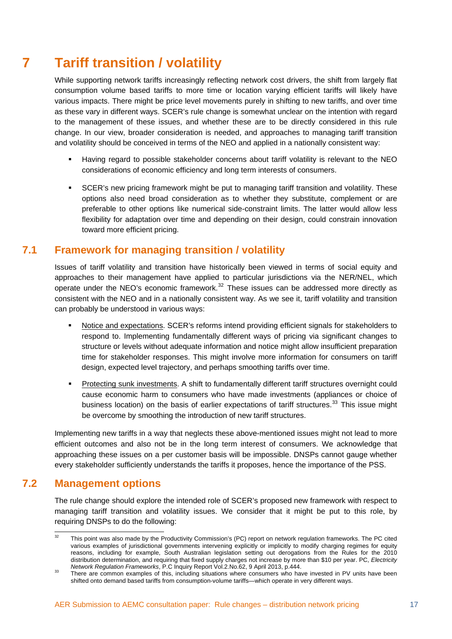# <span id="page-19-0"></span>**7 Tariff transition / volatility**

While supporting network tariffs increasingly reflecting network cost drivers, the shift from largely flat consumption volume based tariffs to more time or location varying efficient tariffs will likely have various impacts. There might be price level movements purely in shifting to new tariffs, and over time as these vary in different ways. SCER's rule change is somewhat unclear on the intention with regard to the management of these issues, and whether these are to be directly considered in this rule change. In our view, broader consideration is needed, and approaches to managing tariff transition and volatility should be conceived in terms of the NEO and applied in a nationally consistent way:

- Having regard to possible stakeholder concerns about tariff volatility is relevant to the NEO considerations of economic efficiency and long term interests of consumers.
- SCER's new pricing framework might be put to managing tariff transition and volatility. These options also need broad consideration as to whether they substitute, complement or are preferable to other options like numerical side-constraint limits. The latter would allow less flexibility for adaptation over time and depending on their design, could constrain innovation toward more efficient pricing.

### <span id="page-19-1"></span>**7.1 Framework for managing transition / volatility**

Issues of tariff volatility and transition have historically been viewed in terms of social equity and approaches to their management have applied to particular jurisdictions via the NER/NEL, which operate under the NEO's economic framework.<sup>[32](#page-19-3)</sup> These issues can be addressed more directly as consistent with the NEO and in a nationally consistent way. As we see it, tariff volatility and transition can probably be understood in various ways:

- Notice and expectations. SCER's reforms intend providing efficient signals for stakeholders to respond to. Implementing fundamentally different ways of pricing via significant changes to structure or levels without adequate information and notice might allow insufficient preparation time for stakeholder responses. This might involve more information for consumers on tariff design, expected level trajectory, and perhaps smoothing tariffs over time.
- Protecting sunk investments. A shift to fundamentally different tariff structures overnight could cause economic harm to consumers who have made investments (appliances or choice of business location) on the basis of earlier expectations of tariff structures.<sup>[33](#page-19-4)</sup> This issue might be overcome by smoothing the introduction of new tariff structures.

Implementing new tariffs in a way that neglects these above-mentioned issues might not lead to more efficient outcomes and also not be in the long term interest of consumers. We acknowledge that approaching these issues on a per customer basis will be impossible. DNSPs cannot gauge whether every stakeholder sufficiently understands the tariffs it proposes, hence the importance of the PSS.

### <span id="page-19-2"></span>**7.2 Management options**

The rule change should explore the intended role of SCER's proposed new framework with respect to managing tariff transition and volatility issues. We consider that it might be put to this role, by requiring DNSPs to do the following:

<span id="page-19-3"></span> $\overline{32}$ This point was also made by the Productivity Commission's (PC) report on network regulation frameworks. The PC cited various examples of jurisdictional governments intervening explicitly or implicitly to modify charging regimes for equity reasons, including for example, South Australian legislation setting out derogations from the Rules for the 2010 distribution determination, and requiring that fixed supply charges not increase by more than \$10 per year. PC, *Electricity* 

<span id="page-19-4"></span>*Network Regulation Frameworks*, P.C Inquiry Report Vol.2.No.62, 9 April 2013, p.444. 33 There are common examples of this, including situations where consumers who have invested in PV units have been shifted onto demand based tariffs from consumption-volume tariffs—which operate in very different ways.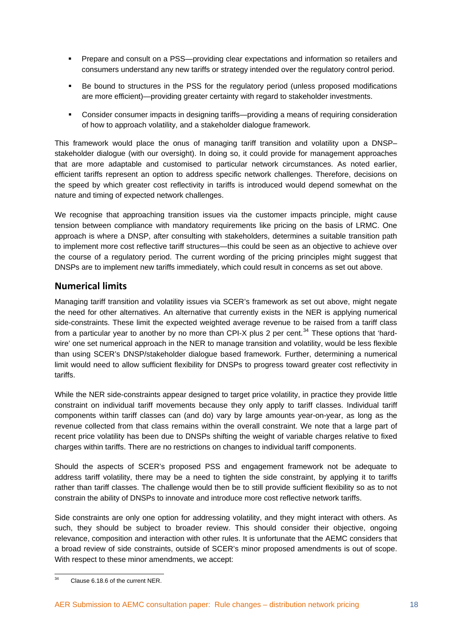- Prepare and consult on a PSS—providing clear expectations and information so retailers and consumers understand any new tariffs or strategy intended over the regulatory control period.
- Be bound to structures in the PSS for the regulatory period (unless proposed modifications are more efficient)—providing greater certainty with regard to stakeholder investments.
- Consider consumer impacts in designing tariffs—providing a means of requiring consideration of how to approach volatility, and a stakeholder dialogue framework.

This framework would place the onus of managing tariff transition and volatility upon a DNSP– stakeholder dialogue (with our oversight). In doing so, it could provide for management approaches that are more adaptable and customised to particular network circumstances. As noted earlier, efficient tariffs represent an option to address specific network challenges. Therefore, decisions on the speed by which greater cost reflectivity in tariffs is introduced would depend somewhat on the nature and timing of expected network challenges.

We recognise that approaching transition issues via the customer impacts principle, might cause tension between compliance with mandatory requirements like pricing on the basis of LRMC. One approach is where a DNSP, after consulting with stakeholders, determines a suitable transition path to implement more cost reflective tariff structures—this could be seen as an objective to achieve over the course of a regulatory period. The current wording of the pricing principles might suggest that DNSPs are to implement new tariffs immediately, which could result in concerns as set out above.

#### **Numerical limits**

Managing tariff transition and volatility issues via SCER's framework as set out above, might negate the need for other alternatives. An alternative that currently exists in the NER is applying numerical side-constraints. These limit the expected weighted average revenue to be raised from a tariff class from a particular year to another by no more than CPI-X plus 2 per cent.<sup>[34](#page-20-0)</sup> These options that 'hardwire' one set numerical approach in the NER to manage transition and volatility, would be less flexible than using SCER's DNSP/stakeholder dialogue based framework. Further, determining a numerical limit would need to allow sufficient flexibility for DNSPs to progress toward greater cost reflectivity in tariffs.

While the NER side-constraints appear designed to target price volatility, in practice they provide little constraint on individual tariff movements because they only apply to tariff classes. Individual tariff components within tariff classes can (and do) vary by large amounts year-on-year, as long as the revenue collected from that class remains within the overall constraint. We note that a large part of recent price volatility has been due to DNSPs shifting the weight of variable charges relative to fixed charges within tariffs. There are no restrictions on changes to individual tariff components.

Should the aspects of SCER's proposed PSS and engagement framework not be adequate to address tariff volatility, there may be a need to tighten the side constraint, by applying it to tariffs rather than tariff classes. The challenge would then be to still provide sufficient flexibility so as to not constrain the ability of DNSPs to innovate and introduce more cost reflective network tariffs.

Side constraints are only one option for addressing volatility, and they might interact with others. As such, they should be subject to broader review. This should consider their objective, ongoing relevance, composition and interaction with other rules. It is unfortunate that the AEMC considers that a broad review of side constraints, outside of SCER's minor proposed amendments is out of scope. With respect to these minor amendments, we accept:

<span id="page-20-0"></span> $\overline{34}$ 34 Clause 6.18.6 of the current NER.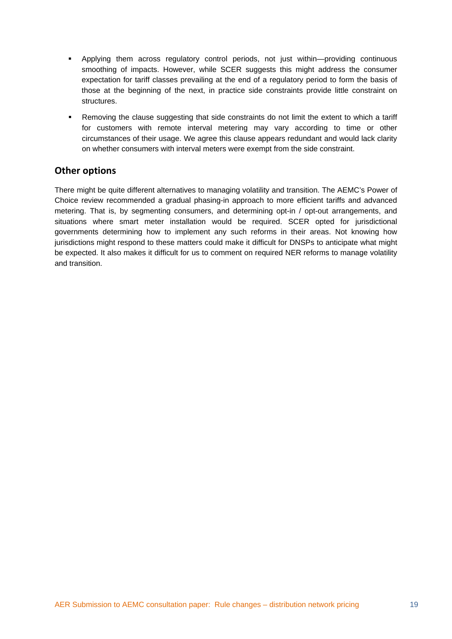- Applying them across regulatory control periods, not just within—providing continuous smoothing of impacts. However, while SCER suggests this might address the consumer expectation for tariff classes prevailing at the end of a regulatory period to form the basis of those at the beginning of the next, in practice side constraints provide little constraint on structures.
- Removing the clause suggesting that side constraints do not limit the extent to which a tariff for customers with remote interval metering may vary according to time or other circumstances of their usage. We agree this clause appears redundant and would lack clarity on whether consumers with interval meters were exempt from the side constraint.

#### **Other options**

There might be quite different alternatives to managing volatility and transition. The AEMC's Power of Choice review recommended a gradual phasing-in approach to more efficient tariffs and advanced metering. That is, by segmenting consumers, and determining opt-in / opt-out arrangements, and situations where smart meter installation would be required. SCER opted for jurisdictional governments determining how to implement any such reforms in their areas. Not knowing how jurisdictions might respond to these matters could make it difficult for DNSPs to anticipate what might be expected. It also makes it difficult for us to comment on required NER reforms to manage volatility and transition.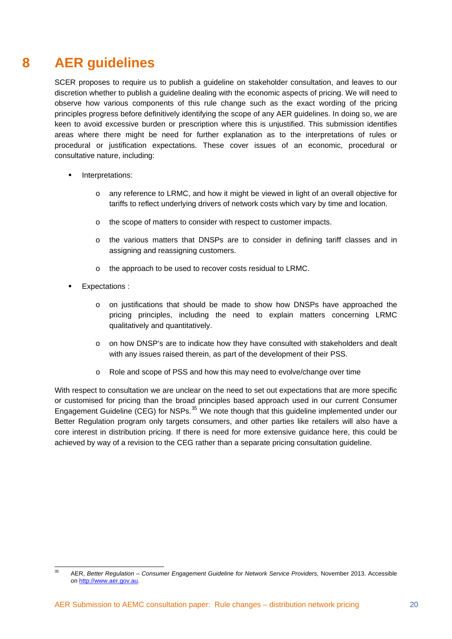# <span id="page-22-0"></span>**8 AER guidelines**

SCER proposes to require us to publish a guideline on stakeholder consultation, and leaves to our discretion whether to publish a guideline dealing with the economic aspects of pricing. We will need to observe how various components of this rule change such as the exact wording of the pricing principles progress before definitively identifying the scope of any AER guidelines. In doing so, we are keen to avoid excessive burden or prescription where this is unjustified. This submission identifies areas where there might be need for further explanation as to the interpretations of rules or procedural or justification expectations. These cover issues of an economic, procedural or consultative nature, including:

- **Interpretations:** 
	- o any reference to LRMC, and how it might be viewed in light of an overall objective for tariffs to reflect underlying drivers of network costs which vary by time and location.
	- o the scope of matters to consider with respect to customer impacts.
	- o the various matters that DNSPs are to consider in defining tariff classes and in assigning and reassigning customers.
	- o the approach to be used to recover costs residual to LRMC.
- Expectations :
	- $\circ$  on justifications that should be made to show how DNSPs have approached the pricing principles, including the need to explain matters concerning LRMC qualitatively and quantitatively.
	- o on how DNSP's are to indicate how they have consulted with stakeholders and dealt with any issues raised therein, as part of the development of their PSS.
	- o Role and scope of PSS and how this may need to evolve/change over time

With respect to consultation we are unclear on the need to set out expectations that are more specific or customised for pricing than the broad principles based approach used in our current Consumer Engagement Guideline (CEG) for NSPs.<sup>[35](#page-22-1)</sup> We note though that this guideline implemented under our Better Regulation program only targets consumers, and other parties like retailers will also have a core interest in distribution pricing. If there is need for more extensive guidance here, this could be achieved by way of a revision to the CEG rather than a separate pricing consultation guideline.

<span id="page-22-1"></span> $\overline{35}$ 35 AER, *Better Regulation – Consumer Engagement Guideline for Network Service Providers,* November 2013. Accessible on [http://www.aer.gov.au.](http://www.aer.gov.au/)